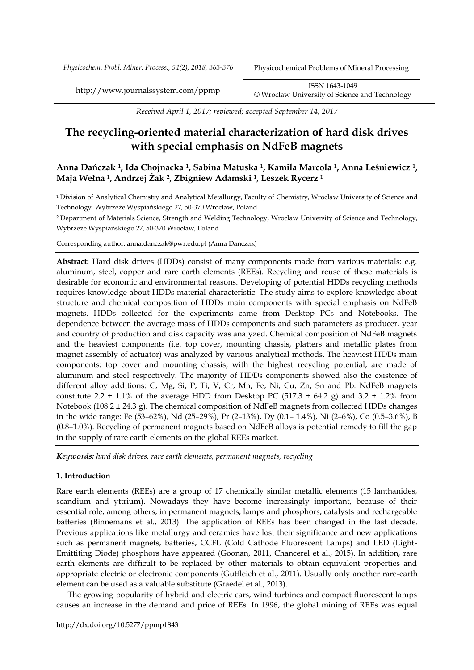*Received April 1, 2017; reviewed; accepted September 14, 2017*

# **The recycling-oriented material characterization of hard disk drives with special emphasis on NdFeB magnets**

# **Anna Dańczak <sup>1</sup>, Ida Chojnacka <sup>1</sup>, Sabina Matuska <sup>1</sup>, Kamila Marcola <sup>1</sup>, Anna Leśniewicz <sup>1</sup>, Maja Wełna <sup>1</sup>, Andrzej Żak <sup>2</sup>, Zbigniew Adamski <sup>1</sup>, Leszek Rycerz <sup>1</sup>**

<sup>1</sup>Division of Analytical Chemistry and Analytical Metallurgy, Faculty of Chemistry, Wrocław University of Science and Technology, Wybrzeże Wyspiańskiego 27, 50-370 Wrocław, Poland

<sup>2</sup>Department of Materials Science, Strength and Welding Technology, Wroclaw University of Science and Technology, Wybrzeże Wyspiańskiego 27, 50-370 Wrocław, Poland

Corresponding author: anna.danczak@pwr.edu.pl (Anna Danczak)

**Abstract:** Hard disk drives (HDDs) consist of many components made from various materials: e.g. aluminum, steel, copper and rare earth elements (REEs). Recycling and reuse of these materials is desirable for economic and environmental reasons. Developing of potential HDDs recycling methods requires knowledge about HDDs material characteristic. The study aims to explore knowledge about structure and chemical composition of HDDs main components with special emphasis on NdFeB magnets. HDDs collected for the experiments came from Desktop PCs and Notebooks. The dependence between the average mass of HDDs components and such parameters as producer, year and country of production and disk capacity was analyzed. Chemical composition of NdFeB magnets and the heaviest components (i.e. top cover, mounting chassis, platters and metallic plates from magnet assembly of actuator) was analyzed by various analytical methods. The heaviest HDDs main components: top cover and mounting chassis, with the highest recycling potential, are made of aluminum and steel respectively. The majority of HDDs components showed also the existence of different alloy additions: C, Mg, Si, P, Ti, V, Cr, Mn, Fe, Ni, Cu, Zn, Sn and Pb. NdFeB magnets constitute 2.2  $\pm$  1.1% of the average HDD from Desktop PC (517.3  $\pm$  64.2 g) and 3.2  $\pm$  1.2% from Notebook (108.2 ± 24.3 g). The chemical composition of NdFeB magnets from collected HDDs changes in the wide range: Fe (53–62%), Nd (25–29%), Pr (2–13%), Dy (0.1– 1.4%), Ni (2–6%), Co (0.5–3.6%), B (0.8–1.0%). Recycling of permanent magnets based on NdFeB alloys is potential remedy to fill the gap in the supply of rare earth elements on the global REEs market.

*Keywords: hard disk drives, rare earth elements, permanent magnets, recycling*

### **1. Introduction**

Rare earth elements (REEs) are a group of 17 chemically similar metallic elements (15 lanthanides, scandium and yttrium). Nowadays they have become increasingly important, because of their essential role, among others, in permanent magnets, lamps and phosphors, catalysts and rechargeable batteries (Binnemans et al., 2013). The application of REEs has been changed in the last decade. Previous applications like metallurgy and ceramics have lost their significance and new applications such as permanent magnets, batteries, CCFL (Cold Cathode Fluorescent Lamps) and LED (Light-Emittiting Diode) phosphors have appeared (Goonan, 2011, Chancerel et al., 2015). In addition, rare earth elements are difficult to be replaced by other materials to obtain equivalent properties and appropriate electric or electronic components (Gutfleich et al., 2011). Usually only another rare-earth element can be used as a valuable substitute (Graedel et al., 2013).

The growing popularity of hybrid and electric cars, wind turbines and compact fluorescent lamps causes an increase in the demand and price of REEs. In 1996, the global mining of REEs was equal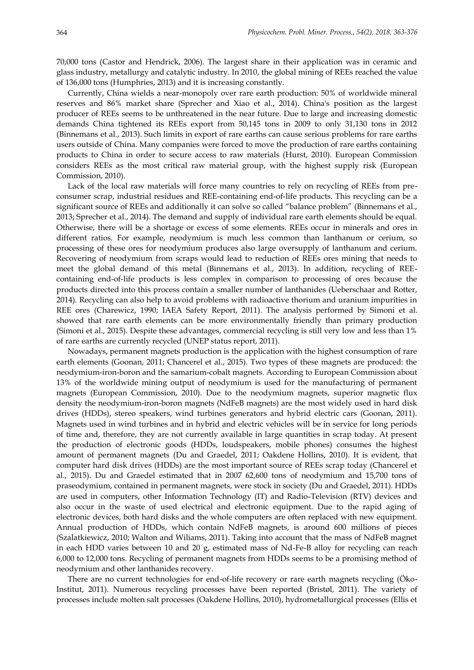70,000 tons (Castor and Hendrick, 2006). The largest share in their application was in ceramic and glass industry, metallurgy and catalytic industry. In 2010, the global mining of REEs reached the value of 136,000 tons (Humphries, 2013) and it is increasing constantly.

Currently, China wields a near-monopoly over rare earth production: 50% of worldwide mineral reserves and 86% market share (Sprecher and Xiao et al., 2014). China's position as the largest producer of REEs seems to be unthreatened in the near future. Due to large and increasing domestic demands China tightened its REEs export from 50,145 tons in 2009 to only 31,130 tons in 2012 (Binnemans et al., 2013). Such limits in export of rare earths can cause serious problems for rare earths users outside of China. Many companies were forced to move the production of rare earths containing products to China in order to secure access to raw materials (Hurst, 2010). European Commission considers REEs as the most critical raw material group, with the highest supply risk (European Commission, 2010).

Lack of the local raw materials will force many countries to rely on recycling of REEs from preconsumer scrap, industrial residues and REE-containing end-of-life products. This recycling can be a significant source of REEs and additionally it can solve so called "balance problem" (Binnemans et al., 2013; Sprecher et al., 2014). The demand and supply of individual rare earth elements should be equal. Otherwise, there will be a shortage or excess of some elements. REEs occur in minerals and ores in different ratios. For example, neodymium is much less common than lanthanum or cerium, so processing of these ores for neodymium produces also large oversupply of lanthanum and cerium. Recovering of neodymium from scraps would lead to reduction of REEs ores mining that needs to meet the global demand of this metal (Binnemans et al., 2013). In addition, recycling of REEcontaining end-of-life products is less complex in comparison to processing of ores because the products directed into this process contain a smaller number of lanthanides (Ueberschaar and Rotter, 2014). Recycling can also help to avoid problems with radioactive thorium and uranium impurities in REE ores (Charewicz, 1990; IAEA Safety Report, 2011). The analysis performed by Simoni et al. showed that rare earth elements can be more environmentally friendly than primary production (Simoni et al., 2015). Despite these advantages, commercial recycling is still very low and less than 1% of rare earths are currently recycled (UNEP status report, 2011).

Nowadays, permanent magnets production is the application with the highest consumption of rare earth elements (Goonan, 2011; Chancerel et al., 2015). Two types of these magnets are produced: the neodymium-iron-boron and the samarium-cobalt magnets. According to European Commission about 13% of the worldwide mining output of neodymium is used for the manufacturing of permanent magnets (European Commission, 2010). Due to the neodymium magnets, superior magnetic flux density the neodymium-iron-boron magnets (NdFeB magnets) are the most widely used in hard disk drives (HDDs), stereo speakers, wind turbines generators and hybrid electric cars (Goonan, 2011). Magnets used in wind turbines and in hybrid and electric vehicles will be in service for long periods of time and, therefore, they are not currently available in large quantities in scrap today. At present the production of electronic goods (HDDs, loudspeakers, mobile phones) consumes the highest amount of permanent magnets (Du and Graedel, 2011; Oakdene Hollins, 2010). It is evident, that computer hard disk drives (HDDs) are the most important source of REEs scrap today (Chancerel et al., 2015). Du and Graedel estimated that in 2007 62,600 tons of neodymium and 15,700 tons of praseodymium, contained in permanent magnets, were stock in society (Du and Graedel, 2011). HDDs are used in computers, other Information Technology (IT) and Radio-Television (RTV) devices and also occur in the waste of used electrical and electronic equipment. Due to the rapid aging of electronic devices, both hard disks and the whole computers are often replaced with new equipment. Annual production of HDDs, which contain NdFeB magnets, is around 600 millions of pieces (Szalatkiewicz, 2010; Walton and Wiliams, 2011). Taking into account that the mass of NdFeB magnet in each HDD varies between 10 and 20 g, estimated mass of Nd-Fe-B alloy for recycling can reach 6,000 to 12,000 tons. Recycling of permanent magnets from HDDs seems to be a promising method of neodymium and other lanthanides recovery.

There are no current technologies for end-of-life recovery or rare earth magnets recycling (Öko-Institut, 2011). Numerous recycling processes have been reported (Bristøl, 2011). The variety of processes include molten salt processes (Oakdene Hollins, 2010), hydrometallurgical processes (Ellis et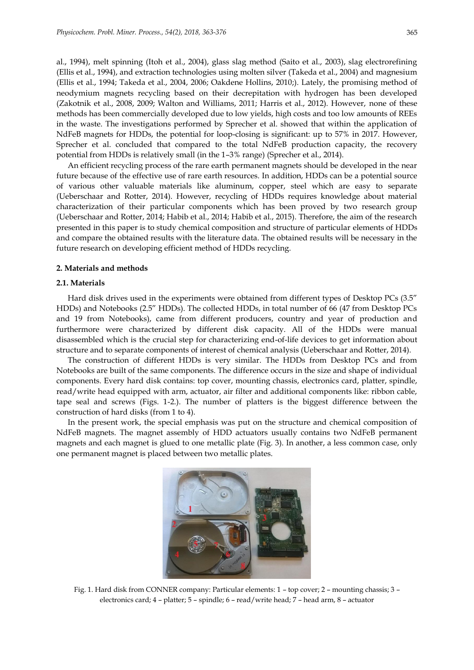al., 1994), melt spinning (Itoh et al., 2004), glass slag method (Saito et al., 2003), slag electrorefining (Ellis et al., 1994), and extraction technologies using molten silver (Takeda et al., 2004) and magnesium (Ellis et al., 1994; Takeda et al., 2004, 2006; Oakdene Hollins, 2010;). Lately, the promising method of neodymium magnets recycling based on their decrepitation with hydrogen has been developed (Zakotnik et al., 2008, 2009; Walton and Williams, 2011; Harris et al., 2012). However, none of these methods has been commercially developed due to low yields, high costs and too low amounts of REEs in the waste. The investigations performed by Sprecher et al. showed that within the application of NdFeB magnets for HDDs, the potential for loop-closing is significant: up to 57% in 2017. However, Sprecher et al. concluded that compared to the total NdFeB production capacity, the recovery potential from HDDs is relatively small (in the 1–3% range) (Sprecher et al., 2014).

An efficient recycling process of the rare earth permanent magnets should be developed in the near future because of the effective use of rare earth resources. In addition, HDDs can be a potential source of various other valuable materials like aluminum, copper, steel which are easy to separate (Ueberschaar and Rotter, 2014). However, recycling of HDDs requires knowledge about material characterization of their particular components which has been proved by two research group (Ueberschaar and Rotter, 2014; Habib et al., 2014; Habib et al., 2015). Therefore, the aim of the research presented in this paper is to study chemical composition and structure of particular elements of HDDs and compare the obtained results with the literature data. The obtained results will be necessary in the future research on developing efficient method of HDDs recycling.

#### **2. Materials and methods**

#### **2.1. Materials**

Hard disk drives used in the experiments were obtained from different types of Desktop PCs (3.5" HDDs) and Notebooks (2.5" HDDs). The collected HDDs, in total number of 66 (47 from Desktop PCs and 19 from Notebooks), came from different producers, country and year of production and furthermore were characterized by different disk capacity. All of the HDDs were manual disassembled which is the crucial step for characterizing end-of-life devices to get information about structure and to separate components of interest of chemical analysis (Ueberschaar and Rotter, 2014).

The construction of different HDDs is very similar. The HDDs from Desktop PCs and from Notebooks are built of the same components. The difference occurs in the size and shape of individual components. Every hard disk contains: top cover, mounting chassis, electronics card, platter, spindle, read/write head equipped with arm, actuator, air filter and additional components like: ribbon cable, tape seal and screws (Figs. 1-2.). The number of platters is the biggest difference between the construction of hard disks (from 1 to 4).

In the present work, the special emphasis was put on the structure and chemical composition of NdFeB magnets. The magnet assembly of HDD actuators usually contains two NdFeB permanent magnets and each magnet is glued to one metallic plate (Fig. 3). In another, a less common case, only one permanent magnet is placed between two metallic plates.



Fig. 1. Hard disk from CONNER company: Particular elements: 1 – top cover; 2 – mounting chassis; 3 – electronics card; 4 – platter; 5 – spindle; 6 – read/write head; 7 – head arm, 8 – actuator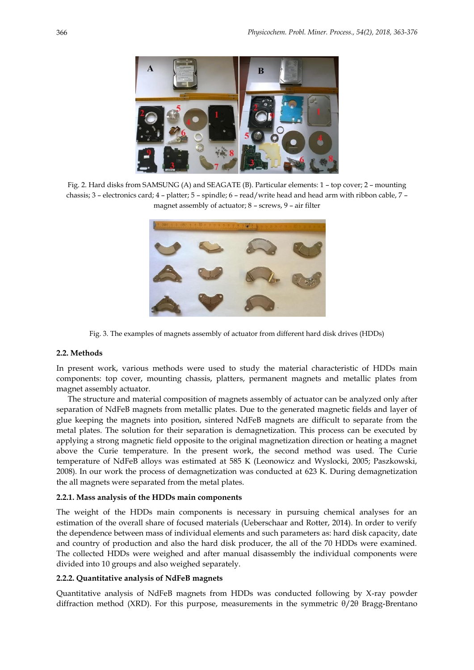

Fig. 2. Hard disks from SAMSUNG (A) and SEAGATE (B). Particular elements: 1 – top cover; 2 – mounting chassis; 3 – electronics card; 4 – platter; 5 – spindle; 6 – read/write head and head arm with ribbon cable, 7 – magnet assembly of actuator; 8 – screws, 9 – air filter



Fig. 3. The examples of magnets assembly of actuator from different hard disk drives (HDDs)

### **2.2. Methods**

In present work, various methods were used to study the material characteristic of HDDs main components: top cover, mounting chassis, platters, permanent magnets and metallic plates from magnet assembly actuator.

The structure and material composition of magnets assembly of actuator can be analyzed only after separation of NdFeB magnets from metallic plates. Due to the generated magnetic fields and layer of glue keeping the magnets into position, sintered NdFeB magnets are difficult to separate from the metal plates. The solution for their separation is demagnetization. This process can be executed by applying a strong magnetic field opposite to the original magnetization direction or heating a magnet above the Curie temperature. In the present work, the second method was used. The Curie temperature of NdFeB alloys was estimated at 585 K (Leonowicz and Wyslocki, 2005; Paszkowski, 2008). In our work the process of demagnetization was conducted at 623 K. During demagnetization the all magnets were separated from the metal plates.

#### **2.2.1. Mass analysis of the HDDs main components**

The weight of the HDDs main components is necessary in pursuing chemical analyses for an estimation of the overall share of focused materials (Ueberschaar and Rotter, 2014). In order to verify the dependence between mass of individual elements and such parameters as: hard disk capacity, date and country of production and also the hard disk producer, the all of the 70 HDDs were examined. The collected HDDs were weighed and after manual disassembly the individual components were divided into 10 groups and also weighed separately.

### **2.2.2. Quantitative analysis of NdFeB magnets**

Quantitative analysis of NdFeB magnets from HDDs was conducted following by X-ray powder diffraction method (XRD). For this purpose, measurements in the symmetric θ/2θ Bragg-Brentano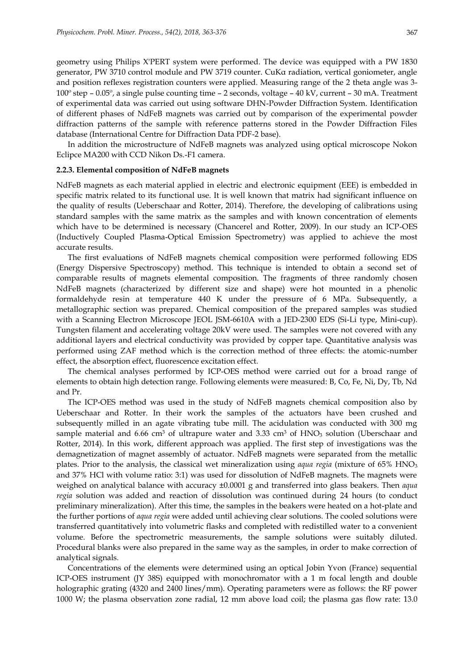geometry using Philips X'PERT system were performed. The device was equipped with a PW 1830 generator, PW 3710 control module and PW 3719 counter. CuKα radiation, vertical goniometer, angle and position reflexes registration counters were applied. Measuring range of the 2 theta angle was 3- 100º step – 0.05º, a single pulse counting time – 2 seconds, voltage – 40 kV, current – 30 mA. Treatment of experimental data was carried out using software DHN-Powder Diffraction System. Identification of different phases of NdFeB magnets was carried out by comparison of the experimental powder diffraction patterns of the sample with reference patterns stored in the Powder Diffraction Files database (International Centre for Diffraction Data PDF-2 base).

In addition the microstructure of NdFeB magnets was analyzed using optical microscope Nokon Eclipce MA200 with CCD Nikon Ds.-F1 camera.

#### **2.2.3. Elemental composition of NdFeB magnets**

NdFeB magnets as each material applied in electric and electronic equipment (EEE) is embedded in specific matrix related to its functional use. It is well known that matrix had significant influence on the quality of results (Ueberschaar and Rotter, 2014). Therefore, the developing of calibrations using standard samples with the same matrix as the samples and with known concentration of elements which have to be determined is necessary (Chancerel and Rotter, 2009). In our study an ICP-OES (Inductively Coupled Plasma-Optical Emission Spectrometry) was applied to achieve the most accurate results.

The first evaluations of NdFeB magnets chemical composition were performed following EDS (Energy Dispersive Spectroscopy) method. This technique is intended to obtain a second set of comparable results of magnets elemental composition. The fragments of three randomly chosen NdFeB magnets (characterized by different size and shape) were hot mounted in a phenolic formaldehyde resin at temperature 440 K under the pressure of 6 MPa. Subsequently, a metallographic section was prepared. Chemical composition of the prepared samples was studied with a Scanning Electron Microscope JEOL JSM-6610A with a JED-2300 EDS (Si-Li type, Mini-cup). Tungsten filament and accelerating voltage 20kV were used. The samples were not covered with any additional layers and electrical conductivity was provided by copper tape. Quantitative analysis was performed using ZAF method which is the correction method of three effects: the atomic-number effect, the absorption effect, fluorescence excitation effect.

The chemical analyses performed by ICP-OES method were carried out for a broad range of elements to obtain high detection range. Following elements were measured: B, Co, Fe, Ni, Dy, Tb, Nd and Pr.

The ICP-OES method was used in the study of NdFeB magnets chemical composition also by Ueberschaar and Rotter. In their work the samples of the actuators have been crushed and subsequently milled in an agate vibrating tube mill. The acidulation was conducted with 300 mg sample material and 6.66 cm<sup>3</sup> of ultrapure water and 3.33 cm<sup>3</sup> of HNO<sub>3</sub> solution (Uberschaar and Rotter, 2014). In this work, different approach was applied. The first step of investigations was the demagnetization of magnet assembly of actuator. NdFeB magnets were separated from the metallic plates. Prior to the analysis, the classical wet mineralization using *aqua regia* (mixture of 65% HNO<sup>3</sup> and 37% HCl with volume ratio: 3:1) was used for dissolution of NdFeB magnets. The magnets were weighed on analytical balance with accuracy ±0.0001 g and transferred into glass beakers. Then *aqua regia* solution was added and reaction of dissolution was continued during 24 hours (to conduct preliminary mineralization). After this time, the samples in the beakers were heated on a hot-plate and the further portions of *aqua regia* were added until achieving clear solutions. The cooled solutions were transferred quantitatively into volumetric flasks and completed with redistilled water to a convenient volume. Before the spectrometric measurements, the sample solutions were suitably diluted. Procedural blanks were also prepared in the same way as the samples, in order to make correction of analytical signals.

Concentrations of the elements were determined using an optical Jobin Yvon (France) sequential ICP-OES instrument (JY 38S) equipped with monochromator with a 1 m focal length and double holographic grating (4320 and 2400 lines/mm). Operating parameters were as follows: the RF power 1000 W; the plasma observation zone radial, 12 mm above load coil; the plasma gas flow rate: 13.0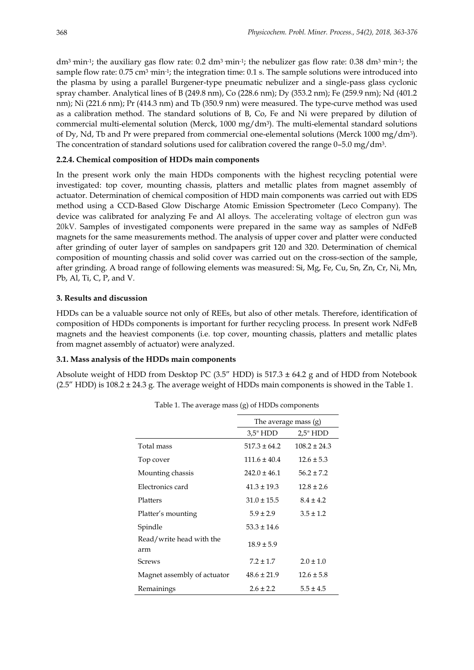dm<sup>3</sup> min<sup>-1</sup>; the auxiliary gas flow rate: 0.2 dm<sup>3</sup> min<sup>-1</sup>; the nebulizer gas flow rate: 0.38 dm<sup>3</sup> min<sup>-1</sup>; the sample flow rate: 0.75 cm $^3$  min<sup>-1</sup>; the integration time: 0.1 s. The sample solutions were introduced into the plasma by using a parallel Burgener-type pneumatic nebulizer and a single-pass glass cyclonic spray chamber. Analytical lines of B (249.8 nm), Co (228.6 nm); Dy (353.2 nm); Fe (259.9 nm); Nd (401.2 nm); Ni (221.6 nm); Pr (414.3 nm) and Tb (350.9 nm) were measured. The type-curve method was used as a calibration method. The standard solutions of B, Co, Fe and Ni were prepared by dilution of commercial multi-elemental solution (Merck, 1000 mg/dm<sup>3</sup> ). The multi-elemental standard solutions of Dy, Nd, Tb and Pr were prepared from commercial one-elemental solutions (Merck 1000 mg/dm<sup>3</sup> ). The concentration of standard solutions used for calibration covered the range 0–5.0 mg/dm $^3$ .

# **2.2.4. Chemical composition of HDDs main components**

In the present work only the main HDDs components with the highest recycling potential were investigated: top cover, mounting chassis, platters and metallic plates from magnet assembly of actuator. Determination of chemical composition of HDD main components was carried out with EDS method using a CCD-Based Glow Discharge Atomic Emission Spectrometer (Leco Company). The device was calibrated for analyzing Fe and Al alloys. The accelerating voltage of electron gun was 20kV. Samples of investigated components were prepared in the same way as samples of NdFeB magnets for the same measurements method. The analysis of upper cover and platter were conducted after grinding of outer layer of samples on sandpapers grit 120 and 320. Determination of chemical composition of mounting chassis and solid cover was carried out on the cross-section of the sample, after grinding. A broad range of following elements was measured: Si, Mg, Fe, Cu, Sn, Zn, Cr, Ni, Mn, Pb, Al, Ti, C, P, and V.

# **3. Results and discussion**

HDDs can be a valuable source not only of REEs, but also of other metals. Therefore, identification of composition of HDDs components is important for further recycling process. In present work NdFeB magnets and the heaviest components (i.e. top cover, mounting chassis, platters and metallic plates from magnet assembly of actuator) were analyzed.

### **3.1. Mass analysis of the HDDs main components**

Absolute weight of HDD from Desktop PC  $(3.5''$  HDD) is  $517.3 \pm 64.2$  g and of HDD from Notebook (2.5" HDD) is 108.2 ± 24.3 g. The average weight of HDDs main components is showed in the Table 1.

|                                 | The average mass $(g)$ |                  |  |  |
|---------------------------------|------------------------|------------------|--|--|
|                                 | 3.5" HDD               | 2.5" HDD         |  |  |
| Total mass                      | $517.3 \pm 64.2$       | $108.2 \pm 24.3$ |  |  |
| Top cover                       | $111.6 \pm 40.4$       | $12.6 \pm 5.3$   |  |  |
| Mounting chassis                | $242.0 \pm 46.1$       | $56.2 \pm 7.2$   |  |  |
| Electronics card                | $41.3 \pm 19.3$        | $12.8 \pm 2.6$   |  |  |
| Platters                        | $31.0 \pm 15.5$        | $8.4 \pm 4.2$    |  |  |
| Platter's mounting              | $5.9 \pm 2.9$          | $3.5 \pm 1.2$    |  |  |
| Spindle                         | $53.3 \pm 14.6$        |                  |  |  |
| Read/write head with the<br>arm | $18.9 \pm 5.9$         |                  |  |  |
| <b>Screws</b>                   | $7.2 \pm 1.7$          | $2.0 \pm 1.0$    |  |  |
| Magnet assembly of actuator     | $48.6 \pm 21.9$        | $12.6 \pm 5.8$   |  |  |
| Remainings                      | $2.6 \pm 2.2$          | $5.5 \pm 4.5$    |  |  |

Table 1. The average mass (g) of HDDs components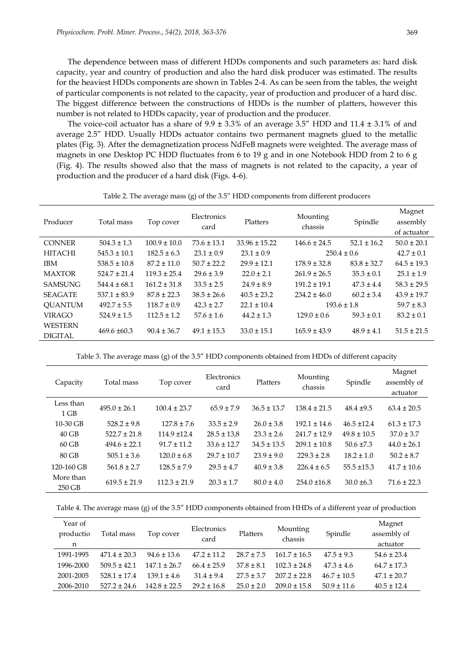The dependence between mass of different HDDs components and such parameters as: hard disk capacity, year and country of production and also the hard disk producer was estimated. The results for the heaviest HDDs components are shown in Tables 2-4. As can be seen from the tables, the weight of particular components is not related to the capacity, year of production and producer of a hard disc. The biggest difference between the constructions of HDDs is the number of platters, however this number is not related to HDDs capacity, year of production and the producer.

The voice-coil actuator has a share of  $9.9 \pm 3.3\%$  of an average 3.5" HDD and 11.4  $\pm 3.1\%$  of and average 2.5" HDD. Usually HDDs actuator contains two permanent magnets glued to the metallic plates (Fig. 3). After the demagnetization process NdFeB magnets were weighted. The average mass of magnets in one Desktop PC HDD fluctuates from 6 to 19 g and in one Notebook HDD from 2 to 6 g (Fig. 4). The results showed also that the mass of magnets is not related to the capacity, a year of production and the producer of a hard disk (Figs. 4-6).

|  | Table 2. The average mass (g) of the 3.5" HDD components from different producers |  |  |  |  |  |  |  |  |
|--|-----------------------------------------------------------------------------------|--|--|--|--|--|--|--|--|
|--|-----------------------------------------------------------------------------------|--|--|--|--|--|--|--|--|

| Producer                   | Total mass       | Top cover        | Electronics<br>card | Platters          | Mounting<br>chassis | Spindle         | Magnet<br>assembly<br>of actuator |
|----------------------------|------------------|------------------|---------------------|-------------------|---------------------|-----------------|-----------------------------------|
| <b>CONNER</b>              | $504.3 \pm 1.3$  | $100.9 \pm 10.0$ | $73.6 \pm 13.1$     | $33.96 \pm 15.22$ | $146.6 \pm 24.5$    | $52.1 \pm 16.2$ | $50.0 \pm 20.1$                   |
| <b>HITACHI</b>             | $545.3 \pm 10.1$ | $182.5 \pm 6.3$  | $23.1 \pm 0.9$      | $23.1 \pm 0.9$    |                     | $250.4 \pm 0.6$ | $42.7 \pm 0.1$                    |
| <b>IBM</b>                 | $538.5 \pm 10.8$ | $87.2 \pm 11.0$  | $50.7 \pm 22.2$     | $29.9 \pm 12.1$   | $178.9 \pm 32.8$    | $83.8 \pm 32.7$ | $64.5 \pm 19.3$                   |
| <b>MAXTOR</b>              | $524.7 \pm 21.4$ | $119.3 \pm 25.4$ | $29.6 \pm 3.9$      | $22.0 \pm 2.1$    | $261.9 \pm 26.5$    | $35.3 \pm 0.1$  | $25.1 \pm 1.9$                    |
| <b>SAMSUNG</b>             | $544.4 \pm 68.1$ | $161.2 \pm 31.8$ | $33.5 \pm 2.5$      | $24.9 \pm 8.9$    | $191.2 + 19.1$      | $47.3 \pm 4.4$  | $58.3 \pm 29.5$                   |
| <b>SEAGATE</b>             | $537.1 \pm 83.9$ | $87.8 \pm 22.3$  | $38.5 \pm 26.6$     | $40.5 \pm 23.2$   | $234.2 \pm 46.0$    | $60.2 \pm 3.4$  | $43.9 \pm 19.7$                   |
| <b>QUANTUM</b>             | $492.7 \pm 5.5$  | $118.7 \pm 0.9$  | $42.3 \pm 2.7$      | $22.1 \pm 10.4$   | $193.6 \pm 1.8$     |                 | $59.7 \pm 8.3$                    |
| <b>VIRAGO</b>              | $524.9 \pm 1.5$  | $112.5 \pm 1.2$  | $57.6 \pm 1.6$      | $44.2 \pm 1.3$    | $129.0 \pm 0.6$     | $59.3 \pm 0.1$  | $83.2 \pm 0.1$                    |
| <b>WESTERN</b><br>DIGITAL. | $469.6 \pm 60.3$ | $90.4 \pm 36.7$  | $49.1 \pm 15.3$     | $33.0 \pm 15.1$   | $165.9 \pm 43.9$    | $48.9 \pm 4.1$  | $51.5 \pm 21.5$                   |

Table 3. The average mass (g) of the 3.5" HDD components obtained from HDDs of different capacity

| Capacity              | Total mass       | Top cover        | Electronics<br>card | Platters        | Mounting<br>chassis | Spindle         | Magnet<br>assembly of<br>actuator |
|-----------------------|------------------|------------------|---------------------|-----------------|---------------------|-----------------|-----------------------------------|
| Less than<br>$1$ GB   | $495.0 \pm 26.1$ | $100.4 \pm 23.7$ | $65.9 \pm 7.9$      | $36.5 \pm 13.7$ | $138.4 \pm 21.5$    | $48.4 \pm 9.5$  | $63.4 \pm 20.5$                   |
| 10-30 GB              | $528.2 \pm 9.8$  | $127.8 \pm 7.6$  | $33.5 \pm 2.9$      | $26.0 \pm 3.8$  | $192.1 \pm 14.6$    | $46.5 \pm 12.4$ | $61.3 \pm 17.3$                   |
| $40$ GB               | $522.7 \pm 21.8$ | $114.9 \pm 12.4$ | $28.5 \pm 13.8$     | $23.3 \pm 2.6$  | $241.7 \pm 12.9$    | $49.8 \pm 10.5$ | $37.0 \pm 3.7$                    |
| $60$ GB               | $494.6 \pm 22.1$ | $91.7 \pm 11.2$  | $33.6 \pm 12.7$     | $34.5 \pm 13.5$ | $209.1 \pm 10.8$    | $50.6 \pm 7.3$  | $44.0 \pm 26.1$                   |
| $80$ GB               | $505.1 \pm 3.6$  | $120.0 \pm 6.8$  | $29.7 \pm 10.7$     | $23.9 \pm 9.0$  | $229.3 \pm 2.8$     | $18.2 \pm 1.0$  | $50.2 \pm 8.7$                    |
| 120-160 GB            | $561.8 \pm 2.7$  | $128.5 \pm 7.9$  | $29.5 \pm 4.7$      | $40.9 \pm 3.8$  | $226.4 \pm 6.5$     | $55.5 \pm 15.3$ | $41.7 \pm 10.6$                   |
| More than<br>$250$ GB | $619.5 \pm 21.9$ | $112.3 \pm 21.9$ | $20.3 \pm 1.7$      | $80.0 \pm 4.0$  | $254.0 \pm 16.8$    | $30.0 \pm 6.3$  | $71.6 \pm 22.3$                   |

|  |  | Table 4. The average mass (g) of the 3.5" HDD components obtained from HHDs of a different year of production |  |  |
|--|--|---------------------------------------------------------------------------------------------------------------|--|--|
|--|--|---------------------------------------------------------------------------------------------------------------|--|--|

| Year of<br>productio<br>n | Total mass       | Top cover       | Electronics<br>card | Platters       | Mounting<br>chassis | Spindle         | Magnet<br>assembly of<br>actuator |
|---------------------------|------------------|-----------------|---------------------|----------------|---------------------|-----------------|-----------------------------------|
| 1991-1995                 | $471.4 \pm 20.3$ | $94.6 \pm 13.6$ | $47.2 + 11.2$       | $28.7 + 7.5$   | $161.7 + 16.5$      | $47.5 \pm 9.3$  | $54.6 \pm 23.4$                   |
| 1996-2000                 | $509.5 + 42.1$   | $147.1 + 26.7$  | $66.4 + 25.9$       | $37.8 + 8.1$   | $102.3 + 24.8$      | $47.3 \pm 4.6$  | $64.7 \pm 17.3$                   |
| 2001-2005                 | $528.1 + 17.4$   | $139.1 + 4.6$   | $31.4 + 9.4$        | $27.5 + 3.7$   | $207.2 + 22.8$      | $46.7 + 10.5$   | $47.1 \pm 20.7$                   |
| 2006-2010                 | $527.2 + 24.6$   | $142.8 + 22.5$  | $29.2 \pm 16.8$     | $25.0 \pm 2.0$ | $209.0 + 15.8$      | $50.9 \pm 11.6$ | $40.5 \pm 12.4$                   |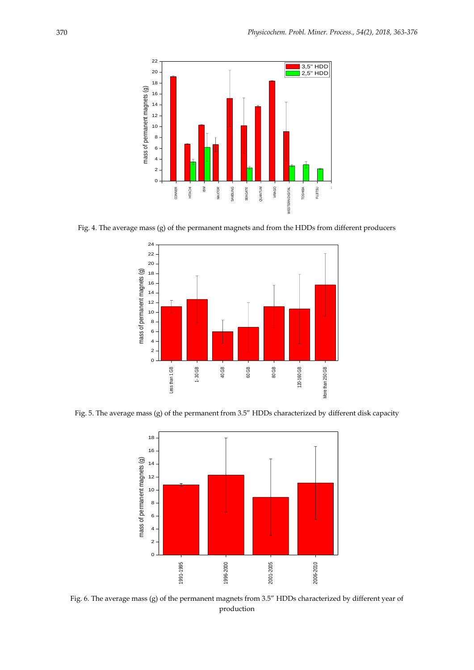

Fig. 4. The average mass (g) of the permanent magnets and from the HDDs from different producers



Fig. 5. The average mass (g) of the permanent from 3.5" HDDs characterized by different disk capacity



Fig. 6. The average mass (g) of the permanent magnets from 3.5" HDDs characterized by different year of production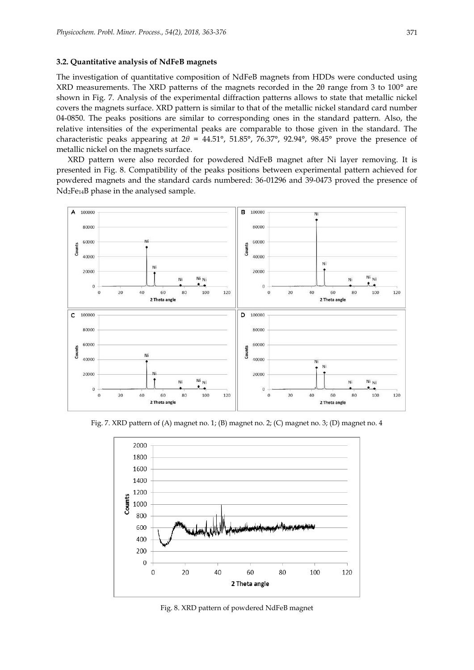#### **3.2. Quantitative analysis of NdFeB magnets**

The investigation of quantitative composition of NdFeB magnets from HDDs were conducted using XRD measurements. The XRD patterns of the magnets recorded in the 2θ range from 3 to 100° are shown in Fig. 7. Analysis of the experimental diffraction patterns allows to state that metallic nickel covers the magnets surface. XRD pattern is similar to that of the metallic nickel standard card number 04-0850. The peaks positions are similar to corresponding ones in the standard pattern. Also, the relative intensities of the experimental peaks are comparable to those given in the standard. The characteristic peaks appearing at 2*θ* = 44.51°, 51.85°, 76.37°, 92.94°, 98.45° prove the presence of metallic nickel on the magnets surface.

XRD pattern were also recorded for powdered NdFeB magnet after Ni layer removing. It is presented in Fig. 8. Compatibility of the peaks positions between experimental pattern achieved for powdered magnets and the standard cards numbered: 36-01296 and 39-0473 proved the presence of Nd2Fe14B phase in the analysed sample.



Fig. 7. XRD pattern of (A) magnet no. 1; (B) magnet no. 2; (C) magnet no. 3; (D) magnet no. 4



Fig. 8. XRD pattern of powdered NdFeB magnet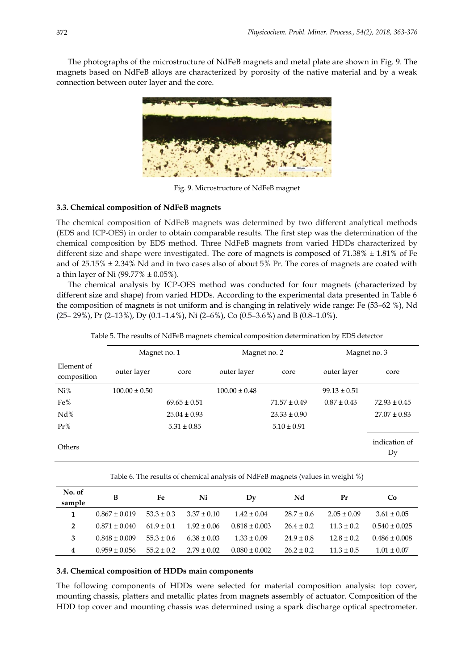The photographs of the microstructure of NdFeB magnets and metal plate are shown in Fig. 9. The magnets based on NdFeB alloys are characterized by porosity of the native material and by a weak connection between outer layer and the core.



Fig. 9. Microstructure of NdFeB magnet

### **3.3. Chemical composition of NdFeB magnets**

The chemical composition of NdFeB magnets was determined by two different analytical methods (EDS and ICP-OES) in order to obtain comparable results. The first step was the determination of the chemical composition by EDS method. Three NdFeB magnets from varied HDDs characterized by different size and shape were investigated. The core of magnets is composed of  $71.38\% \pm 1.81\%$  of Fe and of 25.15% ± 2.34% Nd and in two cases also of about 5% Pr. The cores of magnets are coated with a thin layer of Ni (99.77%  $\pm$  0.05%).

The chemical analysis by ICP-OES method was conducted for four magnets (characterized by different size and shape) from varied HDDs. According to the experimental data presented in Table 6 the composition of magnets is not uniform and is changing in relatively wide range: Fe (53–62 %), Nd (25– 29%), Pr (2–13%), Dy (0.1–1.4%), Ni (2–6%), Co (0.5–3.6%) and B (0.8–1.0%).

|                           | Magnet no. 1      |                  | Magnet no. 2      |                  | Magnet no. 3     |                     |  |
|---------------------------|-------------------|------------------|-------------------|------------------|------------------|---------------------|--|
| Element of<br>composition | outer layer       | core             | outer layer       | core             | outer layer      | core                |  |
| Ni%                       | $100.00 \pm 0.50$ |                  | $100.00 \pm 0.48$ |                  | $99.13 \pm 0.51$ |                     |  |
| Fe%                       |                   | $69.65 \pm 0.51$ |                   | $71.57 \pm 0.49$ | $0.87 \pm 0.43$  | $72.93 \pm 0.45$    |  |
| Nd%                       |                   | $25.04 \pm 0.93$ |                   | $23.33 \pm 0.90$ |                  | $27.07 \pm 0.83$    |  |
| Pr%                       |                   | $5.31 \pm 0.85$  |                   | $5.10 \pm 0.91$  |                  |                     |  |
| Others                    |                   |                  |                   |                  |                  | indication of<br>Dy |  |

Table 5. The results of NdFeB magnets chemical composition determination by EDS detector

Table 6. The results of chemical analysis of NdFeB magnets (values in weight %)

| No. of<br>sample | B                 | Fe             | Ni              | Dv                | Nd             | Pr             | <b>Co</b>         |
|------------------|-------------------|----------------|-----------------|-------------------|----------------|----------------|-------------------|
|                  | $0.867 \pm 0.019$ | $53.3 \pm 0.3$ | $3.37 \pm 0.10$ | $1.42 \pm 0.04$   | $28.7 \pm 0.6$ | $2.05 + 0.09$  | $3.61 \pm 0.05$   |
| $\mathcal{P}$    | $0.871 + 0.040$   | $61.9 \pm 0.1$ | $1.92 \pm 0.06$ | $0.818 + 0.003$   | $26.4 + 0.2$   | $11.3 \pm 0.2$ | $0.540 + 0.025$   |
| З                | $0.848 \pm 0.009$ | $55.3 \pm 0.6$ | $6.38 \pm 0.03$ | $1.33 \pm 0.09$   | $24.9 \pm 0.8$ | $12.8 + 0.2$   | $0.486 \pm 0.008$ |
| 4                | $0.959 \pm 0.056$ | $55.2 \pm 0.2$ | $2.79 \pm 0.02$ | $0.080 \pm 0.002$ | $26.2 \pm 0.2$ | $11.3 \pm 0.5$ | $1.01 \pm 0.07$   |

#### **3.4. Chemical composition of HDDs main components**

The following components of HDDs were selected for material composition analysis: top cover, mounting chassis, platters and metallic plates from magnets assembly of actuator. Composition of the HDD top cover and mounting chassis was determined using a spark discharge optical spectrometer.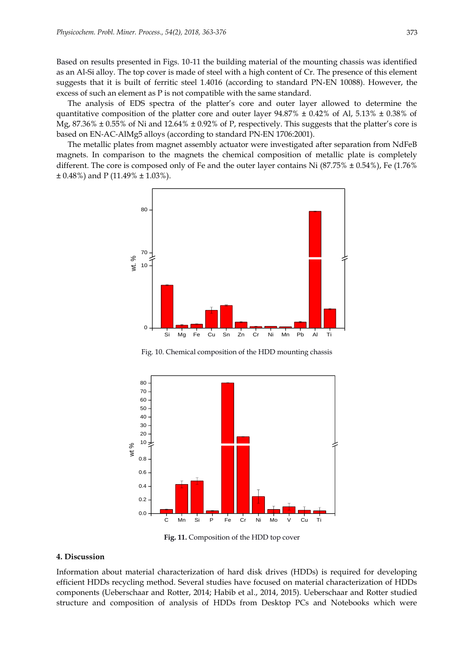Based on results presented in Figs. 10-11 the building material of the mounting chassis was identified as an Al-Si alloy. The top cover is made of steel with a high content of Cr. The presence of this element suggests that it is built of ferritic steel 1.4016 (according to standard PN-EN 10088). However, the excess of such an element as P is not compatible with the same standard.

The analysis of EDS spectra of the platter's core and outer layer allowed to determine the quantitative composition of the platter core and outer layer  $94.87\% \pm 0.42\%$  of Al,  $5.13\% \pm 0.38\%$  of Mg, 87.36% ± 0.55% of Ni and 12.64% ± 0.92% of P, respectively. This suggests that the platter's core is based on EN‐AC‐AlMg5 alloys (according to standard PN‐EN 1706:2001).

The metallic plates from magnet assembly actuator were investigated after separation from NdFeB magnets. In comparison to the magnets the chemical composition of metallic plate is completely different. The core is composed only of Fe and the outer layer contains Ni  $(87.75\% \pm 0.54\%)$ , Fe  $(1.76\%$  $\pm$  0.48%) and P (11.49%  $\pm$  1.03%).



Fig. 10. Chemical composition of the HDD mounting chassis



**Fig. 11.** Composition of the HDD top cover

### **4. Discussion**

Information about material characterization of hard disk drives (HDDs) is required for developing efficient HDDs recycling method. Several studies have focused on material characterization of HDDs components (Ueberschaar and Rotter, 2014; Habib et al., 2014, 2015). Ueberschaar and Rotter studied structure and composition of analysis of HDDs from Desktop PCs and Notebooks which were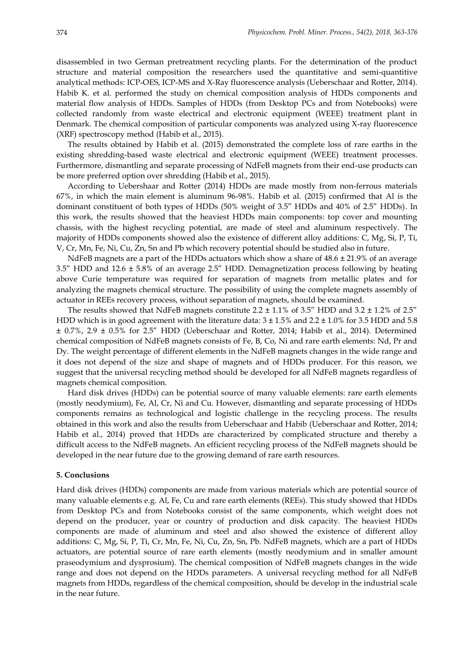disassembled in two German pretreatment recycling plants. For the determination of the product structure and material composition the researchers used the quantitative and semi-quantitive analytical methods: ICP-OES, ICP-MS and X-Ray fluorescence analysis (Ueberschaar and Rotter, 2014). Habib K. et al. performed the study on chemical composition analysis of HDDs components and material flow analysis of HDDs. Samples of HDDs (from Desktop PCs and from Notebooks) were collected randomly from waste electrical and electronic equipment (WEEE) treatment plant in Denmark. The chemical composition of particular components was analyzed using X-ray fluorescence (XRF) spectroscopy method (Habib et al., 2015).

The results obtained by Habib et al. (2015) demonstrated the complete loss of rare earths in the existing shredding-based waste electrical and electronic equipment (WEEE) treatment processes. Furthermore, dismantling and separate processing of NdFeB magnets from their end-use products can be more preferred option over shredding (Habib et al., 2015).

According to Uebershaar and Rotter (2014) HDDs are made mostly from non-ferrous materials 67%, in which the main element is aluminum 96-98%. Habib et al. (2015) confirmed that Al is the dominant constituent of both types of HDDs (50% weight of 3.5" HDDs and 40% of 2.5" HDDs). In this work, the results showed that the heaviest HDDs main components: top cover and mounting chassis, with the highest recycling potential, are made of steel and aluminum respectively. The majority of HDDs components showed also the existence of different alloy additions: C, Mg, Si, P, Ti, V, Cr, Mn, Fe, Ni, Cu, Zn, Sn and Pb which recovery potential should be studied also in future.

NdFeB magnets are a part of the HDDs actuators which show a share of  $48.6 \pm 21.9\%$  of an average 3.5" HDD and 12.6 ± 5.8% of an average 2.5" HDD. Demagnetization process following by heating above Curie temperature was required for separation of magnets from metallic plates and for analyzing the magnets chemical structure. The possibility of using the complete magnets assembly of actuator in REEs recovery process, without separation of magnets, should be examined.

The results showed that NdFeB magnets constitute 2.2  $\pm$  1.1% of 3.5" HDD and 3.2  $\pm$  1.2% of 2.5" HDD which is in good agreement with the literature data:  $3 \pm 1.5\%$  and  $2.2 \pm 1.0\%$  for 3.5 HDD and 5.8 ± 0.7%, 2.9 ± 0.5% for 2.5" HDD (Ueberschaar and Rotter, 2014; Habib et al., 2014). Determined chemical composition of NdFeB magnets consists of Fe, B, Co, Ni and rare earth elements: Nd, Pr and Dy. The weight percentage of different elements in the NdFeB magnets changes in the wide range and it does not depend of the size and shape of magnets and of HDDs producer. For this reason, we suggest that the universal recycling method should be developed for all NdFeB magnets regardless of magnets chemical composition.

Hard disk drives (HDDs) can be potential source of many valuable elements: rare earth elements (mostly neodymium), Fe, Al, Cr, Ni and Cu. However, dismantling and separate processing of HDDs components remains as technological and logistic challenge in the recycling process. The results obtained in this work and also the results from Ueberschaar and Habib (Ueberschaar and Rotter, 2014; Habib et al., 2014) proved that HDDs are characterized by complicated structure and thereby a difficult access to the NdFeB magnets. An efficient recycling process of the NdFeB magnets should be developed in the near future due to the growing demand of rare earth resources.

#### **5. Conclusions**

Hard disk drives (HDDs) components are made from various materials which are potential source of many valuable elements e.g. Al, Fe, Cu and rare earth elements (REEs). This study showed that HDDs from Desktop PCs and from Notebooks consist of the same components, which weight does not depend on the producer, year or country of production and disk capacity. The heaviest HDDs components are made of aluminum and steel and also showed the existence of different alloy additions: C, Mg, Si, P, Ti, Cr, Mn, Fe, Ni, Cu, Zn, Sn, Pb. NdFeB magnets, which are a part of HDDs actuators, are potential source of rare earth elements (mostly neodymium and in smaller amount praseodymium and dysprosium). The chemical composition of NdFeB magnets changes in the wide range and does not depend on the HDDs parameters. A universal recycling method for all NdFeB magnets from HDDs, regardless of the chemical composition, should be develop in the industrial scale in the near future.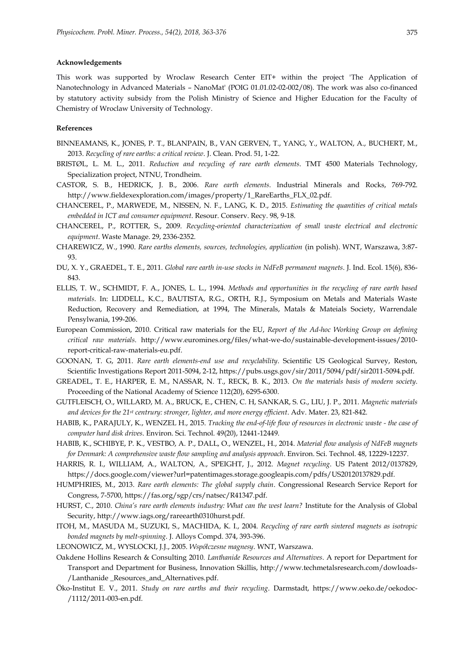#### **Acknowledgements**

This work was supported by Wroclaw Research Center EIT+ within the project 'The Application of Nanotechnology in Advanced Materials – NanoMat' (POIG 01.01.02-02-002/08). The work was also co-financed by statutory activity subsidy from the Polish Ministry of Science and Higher Education for the Faculty of Chemistry of Wroclaw University of Technology.

#### **References**

- BINNEAMANS, K., JONES, P. T., BLANPAIN, B., VAN GERVEN, T., YANG, Y., WALTON, A., BUCHERT, M., 2013. *Recycling of rare earths: a critical review*. J. Clean. Prod. 51, 1-22.
- BRISTØL, L. M. L., 2011. *Reduction and recycling of rare earth elements*. TMT 4500 Materials Technology, Specialization project, NTNU, Trondheim.
- CASTOR, S. B., HEDRICK, J. B., 2006. *Rare earth elements*. Industrial Minerals and Rocks, 769-792. http://www.fieldexexploration.com/images/property/1\_RareEarths\_FLX\_02.pdf.
- CHANCEREL, P., MARWEDE, M., NISSEN, N. F., LANG, K. D., 2015. *Estimating the quantities of critical metals embedded in ICT and consumer equipment*. Resour. Conserv. Recy. 98, 9-18.
- CHANCEREL, P., ROTTER, S., 2009. *Recycling-oriented characterization of small waste electrical and electronic equipment*. Waste Manage. 29, 2336-2352.
- CHAREWICZ, W., 1990. *Rare earths elements, sources, technologies, application* (in polish). WNT, Warszawa, 3:87- 93.
- DU, X. Y., GRAEDEL, T. E., 2011. *Global rare earth in-use stocks in NdFeB permanent magnets*. J. Ind. Ecol. 15(6), 836- 843.
- ELLIS, T. W., SCHMIDT, F. A., JONES, L. L., 1994. *Methods and opportunities in the recycling of rare earth based materials*. In: LIDDELL, K.C., BAUTISTA, R.G., ORTH, R.J., Symposium on Metals and Materials Waste Reduction, Recovery and Remediation, at 1994, The Minerals, Matals & Mateials Society, Warrendale Pensylwania, 199-206.
- European Commission, 2010. Critical raw materials for the EU, *Report of the Ad-hoc Working Group on defining critical raw materials*. http://www.euromines.org/files/what-we-do/sustainable-development-issues/2010 report-critical-raw-materials-eu.pdf.
- GOONAN, T. G, 2011. *Rare earth elements-end use and recyclability*. Scientific US Geological Survey, Reston, Scientific Investigations Report 2011-5094, 2-12, https://pubs.usgs.gov/sir/2011/5094/pdf/sir2011-5094.pdf.
- GREADEL, T. E., HARPER, E. M., NASSAR, N. T., RECK, B. K., 2013. *On the materials basis of modern society*. Proceeding of the National Academy of Science 112(20), 6295-6300.
- GUTFLEISCH, O., WILLARD, M. A., BRUCK, E., CHEN, C. H, SANKAR, S. G., LIU, J. P., 2011. *Magnetic materials and devices for the 21st centrury: stronger, lighter, and more energy efficient*. Adv. Mater. 23, 821-842.
- HABIB, K., PARAJULY, K., WENZEL H., 2015. *Tracking the end-of-life flow of resources in electronic waste - the case of computer hard disk drives*. Environ. Sci. Technol. 49(20), 12441-12449.
- HABIB, K., SCHIBYE, P. K., VESTBO, A. P., DALL, O., WENZEL, H., 2014. *Material flow analysis of NdFeB magnets for Denmark: A comprehensive waste flow sampling and analysis approach*. Environ. Sci. Technol. 48, 12229-12237.
- HARRIS, R. I., WILLIAM, A., WALTON, A., SPEIGHT, J., 2012. *Magnet recycling*. US Patent 2012/0137829, https://docs.google.com/viewer?url=patentimages.storage.googleapis.com/pdfs/US20120137829.pdf.
- HUMPHRIES, M., 2013. *Rare earth elements: The global supply chain*. Congressional Research Service Report for Congress, 7-5700, https://fas.org/sgp/crs/natsec/R41347.pdf.
- HURST, C., 2010. *China's rare earth elements industry: What can the west learn?* Institute for the Analysis of Global Security, http://www.iags.org/rareearth0310hurst.pdf.
- ITOH, M., MASUDA M., SUZUKI, S., MACHIDA, K. I., 2004. *Recycling of rare earth sintered magnets as isotropic bonded magnets by melt-spinning*. J. Alloys Compd. 374, 393-396.
- LEONOWICZ, M., WYSLOCKI, J.J., 2005. *Współczesne magnesy*. WNT, Warszawa.
- Oakdene Hollins Research & Consulting 2010*. Lanthanide Resources and Alternatives*. A report for Department for Transport and Department for Business, Innovation Skillis, http://www.techmetalsresearch.com/dowloads- /Lanthanide \_Resources\_and\_Alternatives.pdf.
- Öko-Institut E. V., 2011. *Study on rare earths and their recycling*. Darmstadt, https://www.oeko.de/oekodoc- /1112/2011-003-en.pdf.